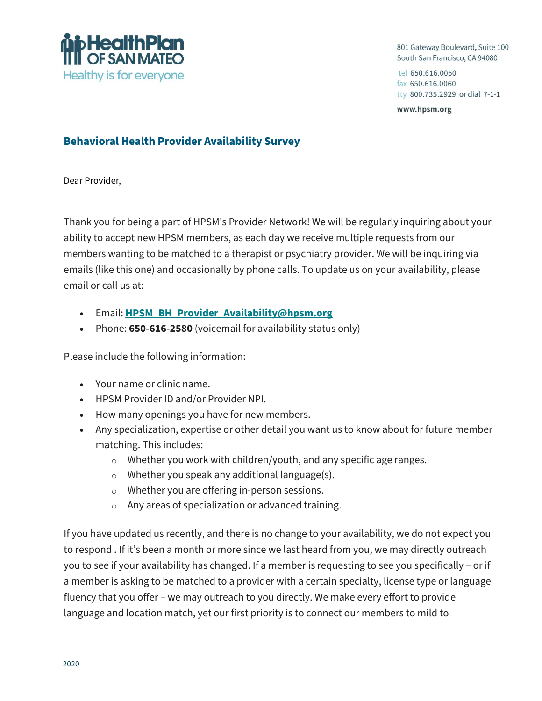

801 Gateway Boulevard, Suite 100 South San Francisco, CA 94080

tel 650.616.0050 fax 650.616.0060 tty 800.735.2929 or dial 7-1-1

www.hpsm.org

## **Behavioral Health Provider Availability Survey**

Dear Provider,

Thank you for being a part of HPSM's Provider Network! We will be regularly inquiring about your ability to accept new HPSM members, as each day we receive multiple requests from our members wanting to be matched to a therapist or psychiatry provider. We will be inquiring via emails (like this one) and occasionally by phone calls. To update us on your availability, please email or call us at:

- Email: **[HPSM\\_BH\\_Provider\\_Availability@hpsm.org](mailto:HPSM_BH_Provider_Availability@hpsm.org)**
- Phone: **650-616-2580** (voicemail for availability status only)

Please include the following information:

- Your name or clinic name.
- HPSM Provider ID and/or Provider NPI.
- How many openings you have for new members.
- Any specialization, expertise or other detail you want us to know about for future member matching. This includes:
	- o Whether you work with children/youth, and any specific age ranges.
	- o Whether you speak any additional language(s).
	- o Whether you are offering in-person sessions.
	- o Any areas of specialization or advanced training.

If you have updated us recently, and there is no change to your availability, we do not expect you to respond . If it's been a month or more since we last heard from you, we may directly outreach you to see if your availability has changed. If a member is requesting to see you specifically – or if a member is asking to be matched to a provider with a certain specialty, license type or language fluency that you offer – we may outreach to you directly. We make every effort to provide language and location match, yet our first priority is to connect our members to mild to